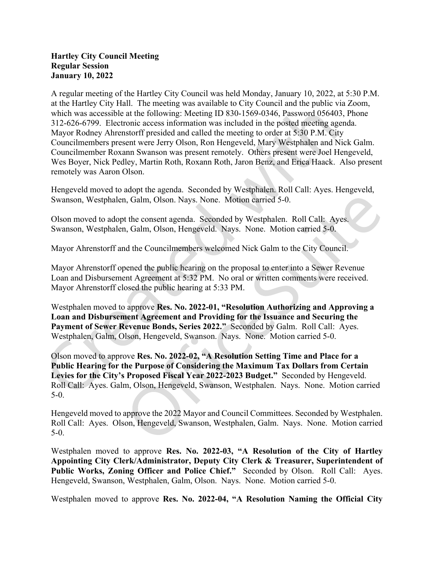## Hartley City Council Meeting Regular Session January 10, 2022

A regular meeting of the Hartley City Council was held Monday, January 10, 2022, at 5:30 P.M. at the Hartley City Hall. The meeting was available to City Council and the public via Zoom, which was accessible at the following: Meeting ID 830-1569-0346, Password 056403, Phone 312-626-6799. Electronic access information was included in the posted meeting agenda. Mayor Rodney Ahrenstorff presided and called the meeting to order at 5:30 P.M. City Councilmembers present were Jerry Olson, Ron Hengeveld, Mary Westphalen and Nick Galm. Councilmember Roxann Swanson was present remotely. Others present were Joel Hengeveld, Wes Boyer, Nick Pedley, Martin Roth, Roxann Roth, Jaron Benz, and Erica Haack. Also present remotely was Aaron Olson.

Hengeveld moved to adopt the agenda. Seconded by Westphalen. Roll Call: Ayes. Hengeveld, Swanson, Westphalen, Galm, Olson. Nays. None. Motion carried 5-0.

Olson moved to adopt the consent agenda. Seconded by Westphalen. Roll Call: Ayes. Swanson, Westphalen, Galm, Olson, Hengeveld. Nays. None. Motion carried 5-0.

Mayor Ahrenstorff and the Councilmembers welcomed Nick Galm to the City Council.

Mayor Ahrenstorff opened the public hearing on the proposal to enter into a Sewer Revenue Loan and Disbursement Agreement at 5:32 PM. No oral or written comments were received. Mayor Ahrenstorff closed the public hearing at 5:33 PM.

Westphalen moved to approve Res. No. 2022-01, "Resolution Authorizing and Approving a Loan and Disbursement Agreement and Providing for the Issuance and Securing the Payment of Sewer Revenue Bonds, Series 2022." Seconded by Galm. Roll Call: Ayes. Westphalen, Galm, Olson, Hengeveld, Swanson. Nays. None. Motion carried 5-0.

Olson moved to approve Res. No. 2022-02, "A Resolution Setting Time and Place for a Public Hearing for the Purpose of Considering the Maximum Tax Dollars from Certain Levies for the City's Proposed Fiscal Year 2022-2023 Budget." Seconded by Hengeveld. Roll Call: Ayes. Galm, Olson, Hengeveld, Swanson, Westphalen. Nays. None. Motion carried 5-0.

Hengeveld moved to approve the 2022 Mayor and Council Committees. Seconded by Westphalen. Roll Call: Ayes. Olson, Hengeveld, Swanson, Westphalen, Galm. Nays. None. Motion carried 5-0.

Westphalen moved to approve Res. No. 2022-03, "A Resolution of the City of Hartley Appointing City Clerk/Administrator, Deputy City Clerk & Treasurer, Superintendent of Public Works, Zoning Officer and Police Chief." Seconded by Olson. Roll Call: Ayes. Hengeveld, Swanson, Westphalen, Galm, Olson. Nays. None. Motion carried 5-0.

Westphalen moved to approve Res. No. 2022-04, "A Resolution Naming the Official City